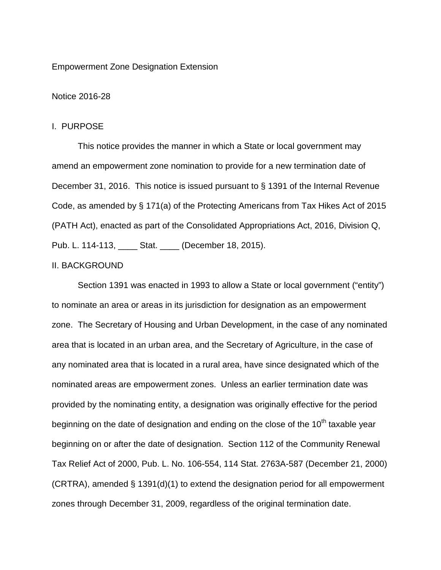#### Empowerment Zone Designation Extension

### Notice 2016-28

#### I. PURPOSE

This notice provides the manner in which a State or local government may amend an empowerment zone nomination to provide for a new termination date of December 31, 2016. This notice is issued pursuant to § 1391 of the Internal Revenue Code, as amended by § 171(a) of the Protecting Americans from Tax Hikes Act of 2015 (PATH Act), enacted as part of the Consolidated Appropriations Act, 2016, Division Q, Pub. L. 114-113, \_\_\_\_ Stat. \_\_\_\_ (December 18, 2015).

## II. BACKGROUND

Section 1391 was enacted in 1993 to allow a State or local government ("entity") to nominate an area or areas in its jurisdiction for designation as an empowerment zone. The Secretary of Housing and Urban Development, in the case of any nominated area that is located in an urban area, and the Secretary of Agriculture, in the case of any nominated area that is located in a rural area, have since designated which of the nominated areas are empowerment zones. Unless an earlier termination date was provided by the nominating entity, a designation was originally effective for the period beginning on the date of designation and ending on the close of the  $10<sup>th</sup>$  taxable year beginning on or after the date of designation. Section 112 of the Community Renewal Tax Relief Act of 2000, Pub. L. No. 106-554, 114 Stat. 2763A-587 (December 21, 2000)  $(CRTRA)$ , amended § 1391(d)(1) to extend the designation period for all empowerment zones through December 31, 2009, regardless of the original termination date.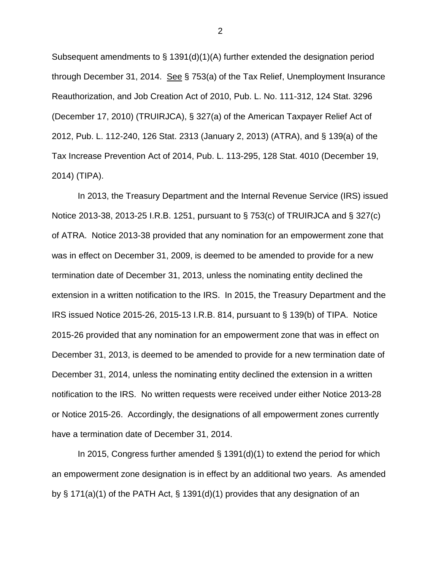Subsequent amendments to  $\S$  1391(d)(1)(A) further extended the designation period through December 31, 2014. See § 753(a) of the Tax Relief, Unemployment Insurance Reauthorization, and Job Creation Act of 2010, Pub. L. No. 111-312, 124 Stat. 3296 (December 17, 2010) (TRUIRJCA), § 327(a) of the American Taxpayer Relief Act of 2012, Pub. L. 112-240, 126 Stat. 2313 (January 2, 2013) (ATRA), and § 139(a) of the Tax Increase Prevention Act of 2014, Pub. L. 113-295, 128 Stat. 4010 (December 19, 2014) (TIPA).

In 2013, the Treasury Department and the Internal Revenue Service (IRS) issued Notice 2013-38, 2013-25 I.R.B. 1251, pursuant to § 753(c) of TRUIRJCA and § 327(c) of ATRA. Notice 2013-38 provided that any nomination for an empowerment zone that was in effect on December 31, 2009, is deemed to be amended to provide for a new termination date of December 31, 2013, unless the nominating entity declined the extension in a written notification to the IRS. In 2015, the Treasury Department and the IRS issued Notice 2015-26, 2015-13 I.R.B. 814, pursuant to § 139(b) of TIPA. Notice 2015-26 provided that any nomination for an empowerment zone that was in effect on December 31, 2013, is deemed to be amended to provide for a new termination date of December 31, 2014, unless the nominating entity declined the extension in a written notification to the IRS. No written requests were received under either Notice 2013-28 or Notice 2015-26. Accordingly, the designations of all empowerment zones currently have a termination date of December 31, 2014.

In 2015, Congress further amended § 1391(d)(1) to extend the period for which an empowerment zone designation is in effect by an additional two years. As amended by § 171(a)(1) of the PATH Act, § 1391(d)(1) provides that any designation of an

2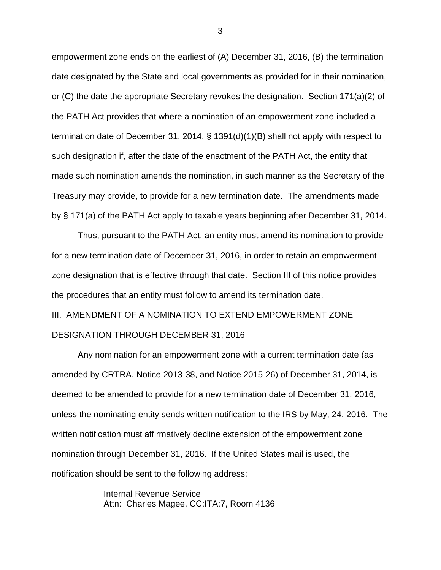empowerment zone ends on the earliest of (A) December 31, 2016, (B) the termination date designated by the State and local governments as provided for in their nomination, or (C) the date the appropriate Secretary revokes the designation. Section 171(a)(2) of the PATH Act provides that where a nomination of an empowerment zone included a termination date of December 31, 2014, § 1391(d)(1)(B) shall not apply with respect to such designation if, after the date of the enactment of the PATH Act, the entity that made such nomination amends the nomination, in such manner as the Secretary of the Treasury may provide, to provide for a new termination date. The amendments made by § 171(a) of the PATH Act apply to taxable years beginning after December 31, 2014.

Thus, pursuant to the PATH Act, an entity must amend its nomination to provide for a new termination date of December 31, 2016, in order to retain an empowerment zone designation that is effective through that date. Section III of this notice provides the procedures that an entity must follow to amend its termination date.

III. AMENDMENT OF A NOMINATION TO EXTEND EMPOWERMENT ZONE DESIGNATION THROUGH DECEMBER 31, 2016

Any nomination for an empowerment zone with a current termination date (as amended by CRTRA, Notice 2013-38, and Notice 2015-26) of December 31, 2014, is deemed to be amended to provide for a new termination date of December 31, 2016, unless the nominating entity sends written notification to the IRS by May, 24, 2016. The written notification must affirmatively decline extension of the empowerment zone nomination through December 31, 2016. If the United States mail is used, the notification should be sent to the following address:

> Internal Revenue Service Attn: Charles Magee, CC:ITA:7, Room 4136

3